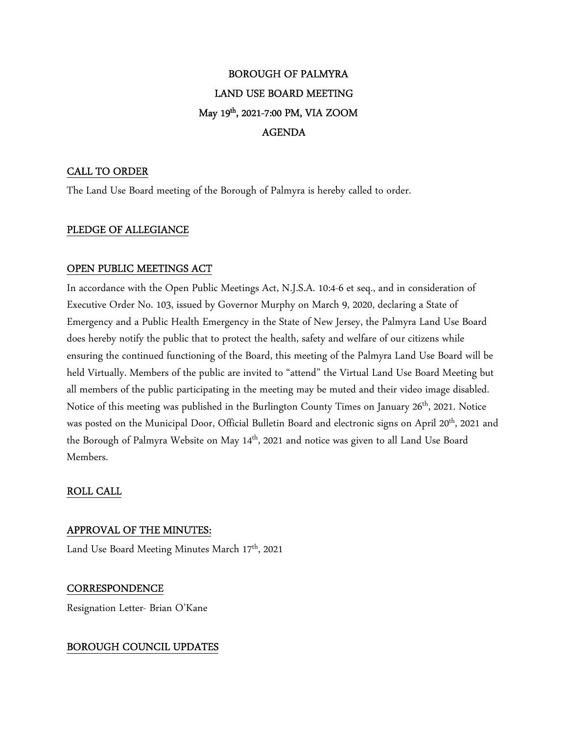# BOROUGH OF PALMYRA LAND USE BOARD MEETING May 19th, 2021-7:00 PM, VIA ZOOM AGENDA

## CALL TO ORDER

The Land Use Board meeting of the Borough of Palmyra is hereby called to order.

## PLEDGE OF ALLEGIANCE

## OPEN PUBLIC MEETINGS ACT

In accordance with the Open Public Meetings Act, N.J.S.A. 10:4-6 et seq., and in consideration of Executive Order No. 103, issued by Governor Murphy on March 9, 2020, declaring a State of Emergency and a Public Health Emergency in the State of New Jersey, the Palmyra Land Use Board does hereby notify the public that to protect the health, safety and welfare of our citizens while ensuring the continued functioning of the Board, this meeting of the Palmyra Land Use Board will be held Virtually. Members of the public are invited to "attend" the Virtual Land Use Board Meeting but all members of the public participating in the meeting may be muted and their video image disabled. Notice of this meeting was published in the Burlington County Times on January 26<sup>th</sup>, 2021. Notice was posted on the Municipal Door, Official Bulletin Board and electronic signs on April 20<sup>th</sup>, 2021 and the Borough of Palmyra Website on May 14<sup>th</sup>, 2021 and notice was given to all Land Use Board Members.

# ROLL CALL

## APPROVAL OF THE MINUTES:

Land Use Board Meeting Minutes March 17<sup>th</sup>, 2021

# **CORRESPONDENCE**

Resignation Letter- Brian O'Kane

# BOROUGH COUNCIL UPDATES